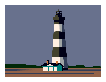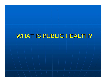## WHAT IS PUBLIC HEALTH?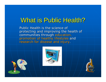Public Health is the science of protecting and improving the health of communities through communities through *education education*, *promotion of healthy lifestyles promotion of healthy lifestyles* and *research for disease and injury research for disease and injury*.



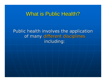Public health involves the application of many *different disciplines* including: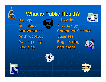

*Biology Biology Education Education Sociology Sociology Psychology Psychology Mathematics MathematicsAnthropology Anthropology Business Business Public policy Public policy Engineering Engineering Medicine Medicine*

 *Computer Science Computer Science and more and more*





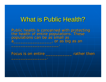Public health is concerned with protecting<br>the health of entire populations. These<br>populations can be as small as<br>a

Focus is on entire Focus is on entire Focus is on entire  $\Box$ 

\_\_\_\_\_\_\_\_\_\_\_\_\_\_\_. \_\_\_\_\_\_\_\_\_\_\_\_\_\_\_.

\_\_\_\_\_\_\_\_\_\_\_\_\_\_\_\_\_\_\_\_. \_\_\_\_\_\_\_\_\_\_\_\_\_\_\_\_\_\_\_\_.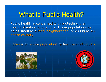Public health is concerned with protecting the health of entire populations. These populations can be as small as a *local neighborhood*, or as big as an *entire country entire country*.

*Focus* is on entire *population* rather then *individuals* 



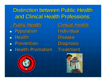Distinction between Public Health and Clinical Health Professions: Public Health **Clinical Health**  *Population Population Individual Individual Health Disease Disease Prevention Prevention Diagnosis Diagnosis Health Promotion Health PromotionTreatment Treatment*



![](_page_7_Picture_2.jpeg)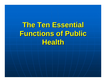**The Ten Essential The Ten Essential Functions of Public Functions of Public Health**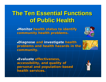**Monitor health status to identify community health problems. community health problems.**

*Diagnose Diagnose* **and** *investigate investigate* **health**  problems and health hazards in the **community. community.**

*Evaluate Evaluate* **effectiveness, effectiveness,**  accessibility, and quality of **personal and population personal and population -based health services. health services.**

![](_page_9_Picture_4.jpeg)

![](_page_9_Picture_5.jpeg)

![](_page_9_Picture_6.jpeg)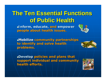*Inform, educate, Inform, educate, and empower empower* **people about health issues. people about health issues.**

*Mobilize Mobilize* **community partnerships community partnerships to identify and solve health to identify and solve health problems. problems.**

*Develop Develop* **policies and plans that policies and plans that**  support individual and community **health efforts. health efforts.**

![](_page_10_Picture_4.jpeg)

![](_page_10_Picture_5.jpeg)

![](_page_10_Picture_6.jpeg)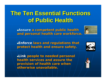*Assure* **a competent public health a competent public health and personal health care workforce. and personal health care workforce.**

*Enforce Enforce* **laws and regulations that laws and regulations that protect health and ensure safety. protect health and ensure safety.**

*Link* **people to needed personal people to needed personal health services and assure the** provision of health care when **otherwise unavailable. otherwise unavailable.**

![](_page_11_Picture_4.jpeg)

![](_page_11_Picture_5.jpeg)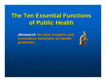*Research Research* **for new insights and for new insights and innovative solutions to health innovative solutions to health problems. problems.**

![](_page_12_Picture_2.jpeg)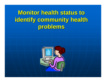# **Monitor health status to Monitor health status to identify community health identify community health problems problems**

![](_page_13_Picture_1.jpeg)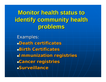**Monitor health status to Monitor health status to identify community health identify community health problems problems**

Examples: **Death certificates Death certificates Birth Certificates Birth Certificates Immunization registries Immunization registries Cancer registries Cancer registries Surveillance Surveillance**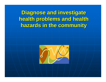**Diagnose and investigate Diagnose and investigate health problems and health health problems and health hazards in the community hazards in the community**

![](_page_15_Picture_1.jpeg)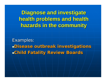**Diagnose and investigate health problems and health health problems and health hazards in the community hazards in the community**

Examples: **Disease outbreak investigations Disease outbreak investigations Child Fatality Review Boards Child Fatality Review Boards**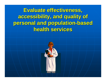**Evaluate effectiveness, Evaluate effectiveness, accessibility, and quality of personal and population personal and population -based health services health services**

![](_page_17_Picture_1.jpeg)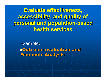**Evaluate effectiveness, Evaluate effectiveness, accessibility, and quality of accessibility, and quality of personal and population personal and population -based health services health services**

Example: **Outcome evaluation and Economic Analysis Economic Analysis**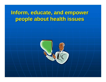### **Inform, educate, and empower Inform, educate, and empower people about health issues people about health issues**

![](_page_19_Picture_1.jpeg)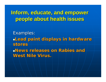#### **Inform, educate, and empower Inform, educate, and empower people about health issues people about health issues**

Examples: **Lead paint displays in hardware Lead paint displays in hardware storesNews releases on Rabies and News releases on Rabies and West Nile Virus.**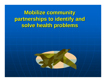**Mobilize community** partnerships to identify and **solve health problems solve health problems**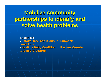Mobilize community **partnerships to identify and partnerships to identify and solve health problems solve health problems**

Examples: **Smoke-free Coalitions in Lubbock free Coalitions in Lubbock and Amarillo and AmarilloHealthy Baby Coalition in Parmer County Advisory boards Advisory boards**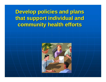Develop policies and plans **that support individual and that support individual and community health efforts community health efforts**

![](_page_23_Picture_1.jpeg)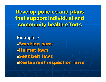Develop policies and plans **that support individual and that support individual and community health efforts community health efforts**

Examples: **Smoking bans Smoking bans Helmet laws Helmet laws Seat belt laws Seat belt laws Restaurant inspection laws**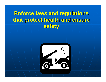### **Enforce laws and regulations Enforce laws and regulations that protect health and ensure that protect health and ensure safety**

![](_page_25_Picture_1.jpeg)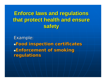**Enforce laws and regulations Enforce laws and regulations that protect health and ensure that protect health and ensure safety**

Example: **Food inspection certificates Food inspection certificates Enforcement of smoking Enforcement of smoking regulations regulations**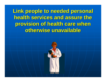**Link people to needed personal Link people to needed personal health services and assure the health services and assure the provision of health care when provision of health care when otherwise unavailable otherwise unavailable**

![](_page_27_Picture_1.jpeg)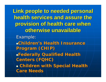**Link people to needed personal Link people to needed personal**  health services and assure the **provision of health care when provision of health care when otherwise unavailable otherwise unavailable** Example: **LChildren's Health Insurance Program (CHIP) Program (CHIP) Federally Qualified Health Centers (FQHC) Centers (FQHC) Example 1 And The With Special Health**  $\boldsymbol{\mathsf{B}}$ **Care Needs Care Needs**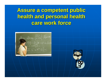### **Assure a competent public Assure a competent public health and personal health health and personal health care work force care work force**

![](_page_29_Picture_1.jpeg)

![](_page_29_Picture_2.jpeg)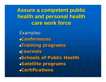**Assure a competent public Assure a competent public health and personal health health and personal health care work force care work force**

Examples: **Conferences Conferences Training programs Training programs Journals Journals Schools of Public Health Schools of Public Health Hatellite programs Certifications Certifications**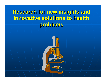### **Research for new insights and Research for new insights and innovative solutions to health innovative solutions to health problems problems**

![](_page_31_Picture_1.jpeg)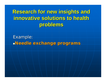**Research for new insights and Research for new insights and innovative solutions to health innovative solutions to health problems problems**

Example: **Needle exchange programs Needle exchange programs**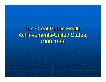Ten Great Public Health Achievements-United States, 1900 -1999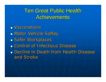#### **Ten Great Public Health** Achievements

 $\blacksquare$  Vaccinations **- Motor Vehicle Saftey E** Safer Workplaces **E Control of Infectious Disease** Decline in Death from Health Disease and Stroke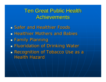#### **Ten Great Public Health** Achievements

**E** Safer and Healthier Foods **Healthier Mothers and Babies** Healthier Mothers  $\blacksquare$  Family Planning **Fluoridation of Drinking Water Recognition of Tobacco Use as a** Health Hazard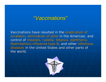#### "*Vaccinations Vaccinations"*

Vaccinations have resulted in the *eradication of smallpox; elimination of polio* in the Americas; and control of control of *measles, rubella, tetanus, diphtheria, measles, rubella, tetanus, diphtheria, Haemophilus influenza type B*, and other *infectious* diseases in the United States and other parts of the world.

![](_page_36_Picture_2.jpeg)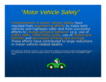#### *"Motor Vehicle Safety Motor Vehicle Safety"*

Improvements in motor-vehicle safety have<br>resulted from engineering efforts to make both<br>vehicles and highways safer and from successful<br>efforts to change personal behavior (e.g. use of<br>safety belts, child safety seats, us These efforts have contributed to large reductions in motor-vehicle related deaths.

Ref: Bolen JR, Sleet DA, Chorba T, et al. Overview of efforts to prevent motor vehicle-related injury.  $\,$ In: Prevention of motor vehicle-related injuries: a compendium of articles from the MMWR, 1985-<br>1996.

![](_page_37_Picture_3.jpeg)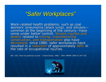#### *"Safer Workplaces Safer Workplaces"*

Work-related health problems, such as coal<br>workers' pneumonia (black lung), and silicosiscommon at the beginning of the century—have<br>come under better control. Severe injuries and<br>deaths related to mining, manufacturing,<br>construction, and transportation also have<br>decreased; since 1980, safer workplaces have *decreased*; since 1980, safer workplaces have<br>resulted in a *reduction* of approximately 40% i resulted in a *reduction* of approximately *40%* in<br>the rate of occupational injuries.

Ref: CDC. Fatal occupational injuries – United States, 1980 – 1994. MMWR 1998; 47: 297-302

![](_page_38_Picture_3.jpeg)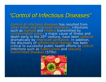#### *"Control of Infectious Diseases Control of Infectious Diseases "*

*Control of infectious diseases* has resulted from clean water and improved sanitation. Infections<br>such as typhoid and cholera transmitted by<br>contaminated water, a major cause of illness and<br>death early in the 20<sup>th</sup> century, have been reduced dramatically by *improved sanitation*. In addition,<br>the discovery of *antimicrobial therapy* has been<br>critical to successful public health efforts to *control* infections such as *tuberculosis* and *sexually* transmitted diseases (STDs).

![](_page_39_Picture_2.jpeg)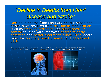#### *"Decline in Deaths from Heart Decline in Deaths from Heart Disease and Stroke Disease and Stroke"*

**Decline in deaths from coronary heart disease and** from coronary earth coronary heart disease and stroke have resulted from risk-factor modification, control coupled with improved access to early control coupled with improved access to early detection and *better treatment*. Since 1972, death rates for *coronary heart disease* have *decreased* 51%.

Ref: Anonymous. The sixth report of the Joint National Committee on Prevention, Detection, Evaluation, and Treatment of High Blood Pressure. Arch Intern Med 1997;157:2413-46.

![](_page_40_Picture_3.jpeg)

![](_page_40_Picture_4.jpeg)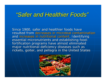#### *"Safer and Healthier Foods Safer and Healthier Foods"*

Since 1900, safer and healthier foods have resulted from resulted from *decreases in microbial contamination decreases in microbial contamination* and *increases in nutritional content*. Identifying essential micronutrients and establishing foodfortification programs have almost eliminated major nutritional deficiency diseases such as rickets, goiter, and pellagra in the United States

![](_page_41_Picture_2.jpeg)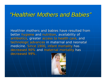#### *"Healthier Mothers and Babies Healthier Mothers and Babies"*

Healthier mothers and babies have resulted from better *hygiene* and *nutrition*, availability of *antibiotics*, greater *access to health care*, and *technologic advances* in maternal and neonatal medicine. Since 1900, *infant mortality* has *decreased 90% decreased 90%* and *maternal mortality maternal mortality* has *decreased 99%. decreased 99%.*

![](_page_42_Picture_2.jpeg)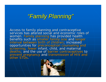## *"Family Planning Family Planning"*

Access to family planning and contraceptive<br>services has altered social and economic roles of women. *Family planning* has provided health<br>benefits such as *smaller family size* and *longer*<br>*interval between birth of children*; increased opportunities for *preconception counseling and*<br>screening; fewer infant, child, and maternal<br>deaths; and the use of *barrier contraceptives* to *prevent pregnancy* and *transmission of HIV and other STDs*.

![](_page_43_Picture_2.jpeg)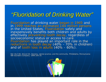### *"Fluoridation of Drinking Water Fluoridation of Drinking Water"*

**Fluoridation** of drinking water began in 1945 and in 1999 reaches an estimated 144 million persons<br>in the United States. Fluoridation safely and inexpensively benefits both children and adults by<br>effectively *preventing tooth clecay*, regardless of<br>socioeconomic status or access to care. **Fluoridation** has played an important role in the reductions in tooth decay (40% - 70% in children) and of *tooth loss in adults* (40% - 60%).

Ref: Burt BA, Eklund SA. Denistry, dental practice, and the community. Philidelphia, Pennsylvania: , WB Saunders Company, 1999:204-20.

![](_page_44_Picture_3.jpeg)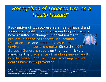#### *"Recognition of Tobacco Use as a Recognition of Tobacco Use as a Health Hazard Health Hazard"*

Recognition of tobacco use as a health hazard and subsequent public health anti-smoking campaigns have resulted in changes in social norms to *prevent initiation of tobacco use, promote cessation use cessation use*, and *reduce exposure to reduce exposure to environmental tobacco smoke.* Since the 1964 **Surgeon General's report on the health risks of** smoking, the *prevalence of smoking among adults has decreased*, and *millions of smoking-related deaths have been prevented. deaths have been prevented.*

Ref: Public Health Service. For a healthy nation: returns on investment in public health. Atlanta, Georgia: US Department of health and Human Services, Public Health Service, Office of Disease Prevention and Health Promotion and CDC, 1994.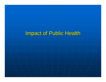#### Impact of Public Health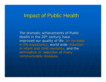#### Impact of Public Health

The dramatic achievements of Public Health in the 20<sup>th</sup> century have improved our quality of life: an increase *in life expectancy*, world wide *reduction* in infant and child mortality, and the *elimination or reduction of many communicable diseases communicable diseases*.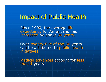### Impact of Public Health

Since 1900, the average *life expectancy* for Americans has *increased* by about *30 years*.

Over *twenty-five of the 30* years<br>can be attributed to *public health*<br>initiatives. *initiatives*.

*Medical advances* account for *less than 4* years.